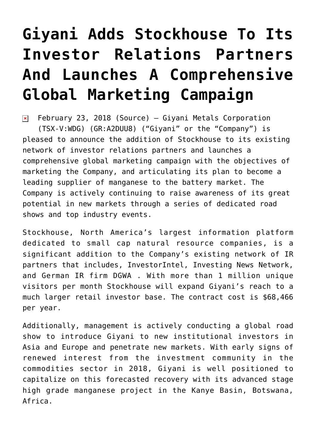## **[Giyani Adds Stockhouse To Its](https://investorintel.com/markets/technology-metals/technology-metals-news/giyani-adds-stockhouse-investor-relations-partners-launches-comprehensive-global-marketing-campaign/) [Investor Relations Partners](https://investorintel.com/markets/technology-metals/technology-metals-news/giyani-adds-stockhouse-investor-relations-partners-launches-comprehensive-global-marketing-campaign/) [And Launches A Comprehensive](https://investorintel.com/markets/technology-metals/technology-metals-news/giyani-adds-stockhouse-investor-relations-partners-launches-comprehensive-global-marketing-campaign/) [Global Marketing Campaign](https://investorintel.com/markets/technology-metals/technology-metals-news/giyani-adds-stockhouse-investor-relations-partners-launches-comprehensive-global-marketing-campaign/)**

February 23, 2018 [\(Source](https://investorintel.com/iintel-members/giyani-metals-corp/)) — Giyani Metals Corporation  $\pmb{\times}$ (TSX-V:[WDG](http://www.globenewswire.com/News/Listing?symbol=WDG&exchange=15)) (GR:A2DUU8) ("Giyani" or the "Company") is pleased to announce the addition of Stockhouse to its existing network of investor relations partners and launches a comprehensive global marketing campaign with the objectives of marketing the Company, and articulating its plan to become a leading supplier of manganese to the battery market. The Company is actively continuing to raise awareness of its great potential in new markets through a series of dedicated road shows and top industry events.

Stockhouse, North America's largest information platform dedicated to small cap natural resource companies, is a significant addition to the Company's existing network of IR partners that includes, InvestorIntel, Investing News Network, and German IR firm DGWA . With more than 1 million unique visitors per month Stockhouse will expand Giyani's reach to a much larger retail investor base. The contract cost is \$68,466 per year.

Additionally, management is actively conducting a global road show to introduce Giyani to new institutional investors in Asia and Europe and penetrate new markets. With early signs of renewed interest from the investment community in the commodities sector in 2018, Giyani is well positioned to capitalize on this forecasted recovery with its advanced stage high grade manganese project in the Kanye Basin, Botswana, Africa.